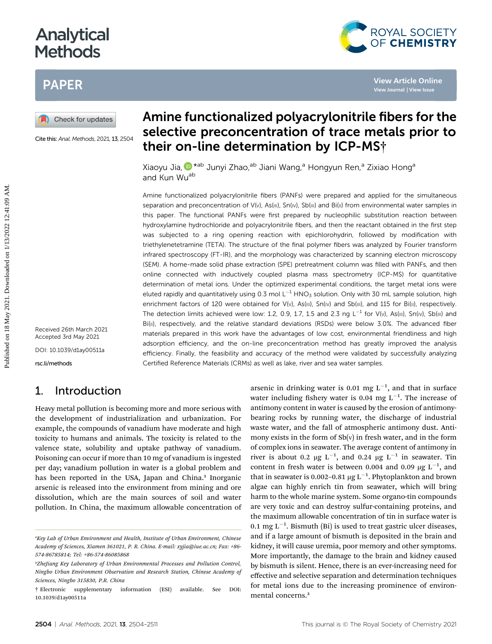# Analytical **Methods**

# PAPER



Cite this: Anal. Methods, 2021, 13, 2504

# Amine functionalized polyacrylonitrile fibers for the selective preconcentration of trace metals prior to their on-line determination by ICP-MS†

ROYAL SOCIETY<br>OF CHEMISTRY

Xiaoyu Jia[,](http://orcid.org/0000-0002-8611-7220)  $\mathbb{D}^*$ <sup>ab</sup> Junyi Zhao,<sup>ab</sup> Jiani Wang,<sup>a</sup> Hongyun Ren,<sup>a</sup> Zixiao Hong<sup>a</sup> and Kun Wu<sup>ab</sup>

Amine functionalized polyacrylonitrile fibers (PANFs) were prepared and applied for the simultaneous separation and preconcentration of V(v), As(III), Sn(IV), Sb(III) and Bi(II) from environmental water samples in this paper. The functional PANFs were first prepared by nucleophilic substitution reaction between hydroxylamine hydrochloride and polyacrylonitrile fibers, and then the reactant obtained in the first step was subjected to a ring opening reaction with epichlorohydrin, followed by modification with triethylenetetramine (TETA). The structure of the final polymer fibers was analyzed by Fourier transform infrared spectroscopy (FT-IR), and the morphology was characterized by scanning electron microscopy (SEM). A home-made solid phase extraction (SPE) pretreatment column was filled with PANFs, and then online connected with inductively coupled plasma mass spectrometry (ICP-MS) for quantitative determination of metal ions. Under the optimized experimental conditions, the target metal ions were eluted rapidly and quantitatively using 0.3 mol  $L^{-1}$  HNO<sub>3</sub> solution. Only with 30 mL sample solution, high enrichment factors of 120 were obtained for V(v), As(III), Sn(Iv) and Sb(III), and 115 for Bi(II), respectively. The detection limits achieved were low: 1.2, 0.9, 1.7, 1.5 and 2.3 ng  $L^{-1}$  for V(v), As(III), Sn(IV), Sb(III) and Bi(II), respectively, and the relative standard deviations (RSDs) were below 3.0%. The advanced fiber materials prepared in this work have the advantages of low cost, environmental friendliness and high adsorption efficiency, and the on-line preconcentration method has greatly improved the analysis efficiency. Finally, the feasibility and accuracy of the method were validated by successfully analyzing Certified Reference Materials (CRMs) as well as lake, river and sea water samples. **PAPER**<br> **Published on 18 May 2021. Solution Science Conference Conference Conference Conference Conference Conference Conference Conference Conference Conference Conference Conference Conference Conference Conference Conf** 

DOI: 10.1039/d1ay00511a

rsc.li/methods

# 1. Introduction

Heavy metal pollution is becoming more and more serious with the development of industrialization and urbanization. For example, the compounds of vanadium have moderate and high toxicity to humans and animals. The toxicity is related to the valence state, solubility and uptake pathway of vanadium. Poisoning can occur if more than 10 mg of vanadium is ingested per day; vanadium pollution in water is a global problem and has been reported in the USA, Japan and China.<sup>1</sup> Inorganic arsenic is released into the environment from mining and ore dissolution, which are the main sources of soil and water pollution. In China, the maximum allowable concentration of

arsenic in drinking water is 0.01 mg  $L^{-1}$ , and that in surface water including fishery water is 0.04 mg  $L^{-1}$ . The increase of antimony content in water is caused by the erosion of antimonybearing rocks by running water, the discharge of industrial waste water, and the fall of atmospheric antimony dust. Antimony exists in the form of  $Sb(v)$  in fresh water, and in the form of complex ions in seawater. The average content of antimony in river is about 0.2  $\mu$ g L<sup>-1</sup>, and 0.24  $\mu$ g L<sup>-1</sup> in seawater. Tin content in fresh water is between 0.004 and 0.09  $\mu$ g L<sup>-1</sup>, and that in seawater is 0.002–0.81  $\mu$ g L $^{-1}$ . Phytoplankton and brown algae can highly enrich tin from seawater, which will bring harm to the whole marine system. Some organo-tin compounds are very toxic and can destroy sulfur-containing proteins, and the maximum allowable concentration of tin in surface water is 0.1 mg  $L^{-1}$ . Bismuth (Bi) is used to treat gastric ulcer diseases, and if a large amount of bismuth is deposited in the brain and kidney, it will cause uremia, poor memory and other symptoms. More importantly, the damage to the brain and kidney caused by bismuth is silent. Hence, there is an ever-increasing need for effective and selective separation and determination techniques for metal ions due to the increasing prominence of environmental concerns.<sup>2</sup>

<sup>&</sup>lt;sup>a</sup>Key Lab of Urban Environment and Health, Institute of Urban Environment, Chinese Academy of Sciences, Xiamen 361021, P. R. China. E-mail: xyjia@iue.ac.cn; Fax: +86- 574-86785814; Tel: +86-574-86085868

b ZheJiang Key Laboratory of Urban Environmental Processes and Pollution Control, Ningbo Urban Environment Observation and Research Station, Chinese Academy of Sciences, Ningbo 315830, P.R. China

<sup>†</sup> Electronic supplementary information (ESI) available. See DOI: 10.1039/d1ay00511a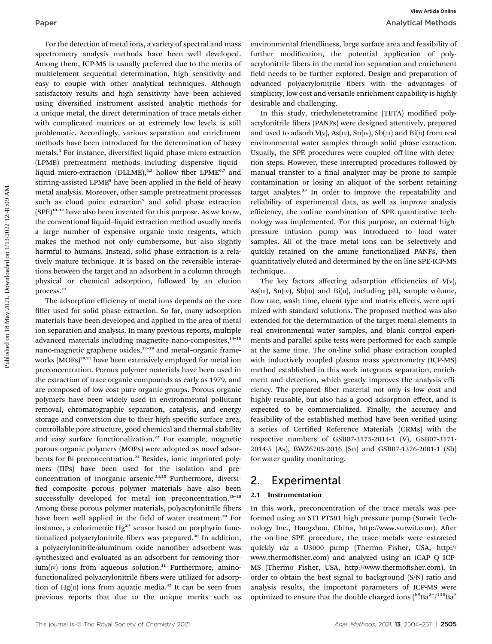For the detection of metal ions, a variety of spectral and mass spectrometry analysis methods have been well developed. Among them, ICP-MS is usually preferred due to the merits of multielement sequential determination, high sensitivity and easy to couple with other analytical techniques. Although satisfactory results and high sensitivity have been achieved using diversified instrument assisted analytic methods for a unique metal, the direct determination of trace metals either with complicated matrices or at extremely low levels is still problematic. Accordingly, various separation and enrichment methods have been introduced for the determination of heavy metals.<sup>3</sup> For instance, diversified liquid phase micro-extraction (LPME) pretreatment methods including dispersive liquid– liquid micro-extraction (DLLME),<sup>4,5</sup> hollow fiber LPME<sup>6,7</sup> and stirring-assisted LPME<sup>8</sup> have been applied in the field of heavy metal analysis. Moreover, other sample pretreatment processes such as cloud point extraction<sup>9</sup> and solid phase extraction  $(SPE)^{10-12}$  have also been invented for this purpose. As we know, the conventional liquid–liquid extraction method usually needs a large number of expensive organic toxic reagents, which makes the method not only cumbersome, but also slightly harmful to humans. Instead, solid phase extraction is a relatively mature technique. It is based on the reversible interactions between the target and an adsorbent in a column through physical or chemical adsorption, followed by an elution process.<sup>13</sup> Paper **Fourcest** Control (For the detection of metal ions, a variety of spectral and mass environmental friendliness, large surface area and feasibility of spectromety analysis methods be the best selection of the positiv

The adsorption efficiency of metal ions depends on the core filler used for solid phase extraction. So far, many adsorption materials have been developed and applied in the area of metal ion separation and analysis. In many previous reports, multiple advanced materials including magnetite nano-composites,<sup>14-16</sup> nano-magnetic graphene oxides,<sup>17-19</sup> and metal-organic frameworks (MOFs)<sup>20,21</sup> have been extensively employed for metal ion preconcentration. Porous polymer materials have been used in the extraction of trace organic compounds as early as 1979, and are composed of low cost pure organic groups. Porous organic polymers have been widely used in environmental pollutant removal, chromatographic separation, catalysis, and energy storage and conversion due to their high specific surface area, controllable pore structure, good chemical and thermal stability and easy surface functionalization.<sup>22</sup> For example, magnetic porous organic polymers (MOPs) were adopted as novel adsorbents for Bi preconcentration.<sup>23</sup> Besides, ionic imprinted polymers (IIPs) have been used for the isolation and preconcentration of inorganic arsenic.<sup>24,25</sup> Furthermore, diversified composite porous polymer materials have also been successfully developed for metal ion preconcentration.<sup>26-28</sup> Among these porous polymer materials, polyacrylonitrile fibers have been well applied in the field of water treatment.<sup>29</sup> For instance, a colorimetric  $Hg^{2+}$  sensor based on porphyrin functionalized polyacrylonitrile fibers was prepared.<sup>30</sup> In addition, a polyacrylonitrile/aluminum oxide nanofiber adsorbent was synthesized and evaluated as an adsorbent for removing thor $ium(w)$  ions from aqueous solution.<sup>31</sup> Furthermore, aminofunctionalized polyacrylonitrile fibers were utilized for adsorption of Hg $(n)$  ions from aquatic media.<sup>32</sup> It can be seen from previous reports that due to the unique merits such as

environmental friendliness, large surface area and feasibility of further modification, the potential application of polyacrylonitrile fibers in the metal ion separation and enrichment field needs to be further explored. Design and preparation of advanced polyacrylonitrile fibers with the advantages of simplicity, low cost and versatile enrichment capability is highly desirable and challenging.

In this study, triethylenetetramine (TETA) modified polyacrylonitrile fibers (PANFs) were designed attentively, prepared and used to adsorb  $V(v)$ ,  $As(m)$ ,  $Sn(w)$ ,  $Sb(m)$  and  $Bi(n)$  from real environmental water samples through solid phase extraction. Usually, the SPE procedures were coupled off-line with detection steps. However, these interrupted procedures followed by manual transfer to a final analyzer may be prone to sample contamination or losing an aliquot of the sorbent retaining target analytes.<sup>33</sup> In order to improve the repeatability and reliability of experimental data, as well as improve analysis efficiency, the online combination of SPE quantitative technology was implemented. For this purpose, an external highpressure infusion pump was introduced to load water samples. All of the trace metal ions can be selectively and quickly retained on the amine functionalized PANFs, then quantitatively eluted and determined by the on line SPE-ICP-MS technique.

The key factors affecting adsorption efficiencies of  $V(v)$ , As( $m$ ), Sn( $w$ ), Sb( $m$ ) and Bi( $n$ ), including pH, sample volume, flow rate, wash time, eluent type and matrix effects, were optimized with standard solutions. The proposed method was also extended for the determination of the target metal elements in real environmental water samples, and blank control experiments and parallel spike tests were performed for each sample at the same time. The on-line solid phase extraction coupled with inductively coupled plasma mass spectrometry (ICP-MS) method established in this work integrates separation, enrichment and detection, which greatly improves the analysis efficiency. The prepared fiber material not only is low cost and highly reusable, but also has a good adsorption effect, and is expected to be commercialized. Finally, the accuracy and feasibility of the established method have been verified using a series of Certified Reference Materials (CRMs) with the respective numbers of GSB07-3175-2014-1 (V), GSB07-3171- 2014-5 (As), BWZ6705-2016 (Sn) and GSB07-1376-2001-1 (Sb) for water quality monitoring.

# 2. Experimental

### 2.1 Instrumentation

In this work, preconcentration of the trace metals was performed using an STI PT501 high pressure pump (Surwit Technology Inc., Hangzhou, China, http://www.surwit.com). After the on-line SPE procedure, the trace metals were extracted quickly via a U3000 pump (Thermo Fisher, USA, http:// www.thermofisher.com) and analyzed using an iCAP Q ICP-MS (Thermo Fisher, USA, http://www.thermofisher.com). In order to obtain the best signal to background (S/N) ratio and analysis results, the important parameters of ICP-MS were optimized to ensure that the double charged ions  $(^{69}Ba^{2+}/^{138}Ba^{+}$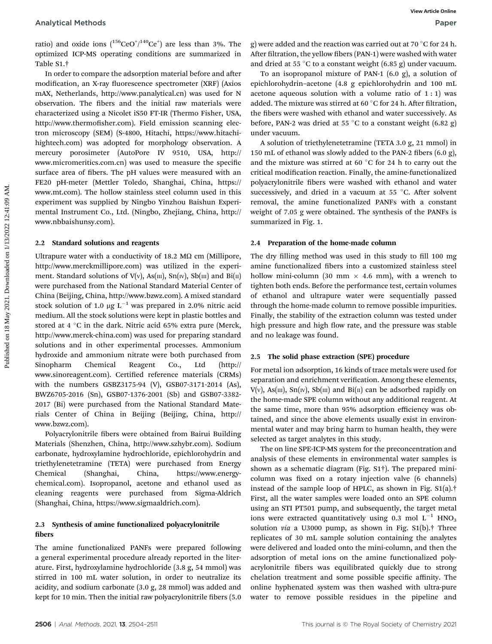ratio) and oxide ions  $(^{156}CeO^{+/140}Ce^{+})$  are less than 3%. The optimized ICP-MS operating conditions are summarized in Table S1.†

In order to compare the adsorption material before and after modification, an X-ray fluorescence spectrometer (XRF) (Axios mAX, Netherlands, http://www.panalytical.cn) was used for N observation. The fibers and the initial raw materials were characterized using a Nicolet iS50 FT-IR (Thermo Fisher, USA, http://www.thermofisher.com). Field emission scanning electron microscopy (SEM) (S-4800, Hitachi, https://www.hitachihightech.com) was adopted for morphology observation. A mercury porosimeter (AutoPore IV 9510, USA, http:// www.micromeritics.com.cn) was used to measure the specific surface area of fibers. The pH values were measured with an FE20 pH-meter (Mettler Toledo, Shanghai, China, https:// www.mt.com). The hollow stainless steel column used in this experiment was supplied by Ningbo Yinzhou Baishun Experimental Instrument Co., Ltd. (Ningbo, Zhejiang, China, http:// www.nbbaishunsy.com). Analytical Methods<br>
weekso hands<br>
ratio and oxide ions  $\{1^{16}C4C\}^{1400}C6\}$  in the list of the methods and the reaction was carried on at 70°C for 24 happing<br>
ratio and the state of the methods are summarized in Afric

#### 2.2 Standard solutions and reagents

Ultrapure water with a conductivity of 18.2 M $\Omega$  cm (Millipore, http://www.merckmillipore.com) was utilized in the experiment. Standard solutions of  $V(v)$ ,  $As(m)$ ,  $Sn(v)$ ,  $Sb(m)$  and  $Bi(n)$ were purchased from the National Standard Material Center of China (Beijing, China, http://www.bzwz.com). A mixed standard stock solution of 1.0  $\mu$ g L<sup>-1</sup> was prepared in 2.0% nitric acid medium. All the stock solutions were kept in plastic bottles and stored at 4  $\degree$ C in the dark. Nitric acid 65% extra pure (Merck, http://www.merck-china.com) was used for preparing standard solutions and in other experimental processes. Ammonium hydroxide and ammonium nitrate were both purchased from Sinopharm Chemical Reagent Co., Ltd (http:// www.sinoreagent.com). Certified reference materials (CRMs) with the numbers GSBZ3175-94 (V), GSB07-3171-2014 (As), BWZ6705-2016 (Sn), GSB07-1376-2001 (Sb) and GSB07-3382- 2017 (Bi) were purchased from the National Standard Materials Center of China in Beijing (Beijing, China, http:// www.bzwz.com).

Polyacrylonitrile fibers were obtained from Bairui Building Materials (Shenzhen, China, http://www.szhybr.com). Sodium carbonate, hydroxylamine hydrochloride, epichlorohydrin and triethylenetetramine (TETA) were purchased from Energy Chemical (Shanghai, China, https://www.energychemical.com). Isopropanol, acetone and ethanol used as cleaning reagents were purchased from Sigma-Aldrich (Shanghai, China, https://www.sigmaaldrich.com).

### 2.3 Synthesis of amine functionalized polyacrylonitrile fibers

The amine functionalized PANFs were prepared following a general experimental procedure already reported in the literature. First, hydroxylamine hydrochloride (3.8 g, 54 mmol) was stirred in 100 mL water solution, in order to neutralize its acidity, and sodium carbonate (3.0 g, 28 mmol) was added and kept for 10 min. Then the initial raw polyacrylonitrile fibers (5.0)

g) were added and the reaction was carried out at 70  $\degree$ C for 24 h. After filtration, the yellow fibers (PAN-1) were washed with water and dried at 55 °C to a constant weight  $(6.85 \text{ g})$  under vacuum.

To an isopropanol mixture of PAN-1 (6.0 g), a solution of epichlorohydrin–acetone (4.8 g epichlorohydrin and 100 mL acetone aqueous solution with a volume ratio of  $1:1$ ) was added. The mixture was stirred at 60  $\degree$ C for 24 h. After filtration, the fibers were washed with ethanol and water successively. As before, PAN-2 was dried at 55 °C to a constant weight  $(6.82 \text{ g})$ under vacuum.

A solution of triethylenetetramine (TETA 3.0 g, 21 mmol) in 150 mL of ethanol was slowly added to the PAN-2 fibers (6.0 g), and the mixture was stirred at 60  $\degree$ C for 24 h to carry out the critical modification reaction. Finally, the amine-functionalized polyacrylonitrile fibers were washed with ethanol and water successively, and dried in a vacuum at 55  $^{\circ}$ C. After solvent removal, the amine functionalized PANFs with a constant weight of 7.05 g were obtained. The synthesis of the PANFs is summarized in Fig. 1.

#### 2.4 Preparation of the home-made column

The dry filling method was used in this study to fill 100 mg amine functionalized fibers into a customized stainless steel hollow mini-column (30 mm  $\times$  4.6 mm), with a wrench to tighten both ends. Before the performance test, certain volumes of ethanol and ultrapure water were sequentially passed through the home-made column to remove possible impurities. Finally, the stability of the extraction column was tested under high pressure and high flow rate, and the pressure was stable and no leakage was found.

#### 2.5 The solid phase extraction (SPE) procedure

For metal ion adsorption, 16 kinds of trace metals were used for separation and enrichment verification. Among these elements,  $V(v)$ , As(III), Sn(IV), Sb(III) and Bi(II) can be adsorbed rapidly on the home-made SPE column without any additional reagent. At the same time, more than 95% adsorption efficiency was obtained, and since the above elements usually exist in environmental water and may bring harm to human health, they were selected as target analytes in this study.

The on line SPE-ICP-MS system for the preconcentration and analysis of these elements in environmental water samples is shown as a schematic diagram (Fig. S1†). The prepared minicolumn was fixed on a rotary injection valve (6 channels) instead of the sample loop of HPLC, as shown in Fig. S1(a).† First, all the water samples were loaded onto an SPE column using an STI PT501 pump, and subsequently, the target metal ions were extracted quantitatively using 0.3 mol  $L^{-1}$  HNO<sub>3</sub> solution via a U3000 pump, as shown in Fig. S1(b).<sup>†</sup> Three replicates of 30 mL sample solution containing the analytes were delivered and loaded onto the mini-column, and then the adsorption of metal ions on the amine functionalized polyacrylonitrile fibers was equilibrated quickly due to strong chelation treatment and some possible specific affinity. The online hyphenated system was then washed with ultra-pure water to remove possible residues in the pipeline and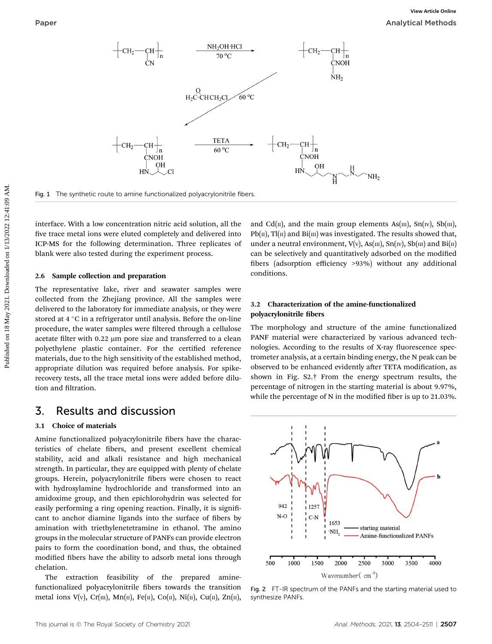

Fig. 1 The synthetic route to amine functionalized polyacrylonitrile fibers.

interface. With a low concentration nitric acid solution, all the five trace metal ions were eluted completely and delivered into ICP-MS for the following determination. Three replicates of blank were also tested during the experiment process.

#### 2.6 Sample collection and preparation

The representative lake, river and seawater samples were collected from the Zhejiang province. All the samples were delivered to the laboratory for immediate analysis, or they were stored at  $4^{\circ}$ C in a refrigerator until analysis. Before the on-line procedure, the water samples were filtered through a cellulose acetate filter with  $0.22 \mu m$  pore size and transferred to a clean polyethylene plastic container. For the certified reference materials, due to the high sensitivity of the established method, appropriate dilution was required before analysis. For spikerecovery tests, all the trace metal ions were added before dilution and filtration.

## 3. Results and discussion

#### 3.1 Choice of materials

Amine functionalized polyacrylonitrile fibers have the characteristics of chelate fibers, and present excellent chemical stability, acid and alkali resistance and high mechanical strength. In particular, they are equipped with plenty of chelate groups. Herein, polyacrylonitrile fibers were chosen to react with hydroxylamine hydrochloride and transformed into an amidoxime group, and then epichlorohydrin was selected for easily performing a ring opening reaction. Finally, it is significant to anchor diamine ligands into the surface of fibers by amination with triethylenetetramine in ethanol. The amino groups in the molecular structure of PANFs can provide electron pairs to form the coordination bond, and thus, the obtained modified fibers have the ability to adsorb metal ions through chelation.

The extraction feasibility of the prepared aminefunctionalized polyacrylonitrile fibers towards the transition metal ions V(v), Cr(m), Mn(n), Fe(n), Co(n), Ni(n), Cu(n), Zn(n), and Cd( $\pi$ ), and the main group elements As( $\pi$ ), Sn( $\pi$ ), Sb( $\pi$ ),  $Pb(\Pi)$ ,  $Tl(\Pi)$  and  $Bi(\Pi)$  was investigated. The results showed that, under a neutral environment,  $V(v)$ ,  $As(m)$ ,  $Sn(w)$ ,  $Sb(m)$  and  $Bi(m)$ can be selectively and quantitatively adsorbed on the modified bers (adsorption efficiency >93%) without any additional conditions.

#### 3.2 Characterization of the amine-functionalized polyacrylonitrile fibers

The morphology and structure of the amine functionalized PANF material were characterized by various advanced technologies. According to the results of X-ray fluorescence spectrometer analysis, at a certain binding energy, the N peak can be observed to be enhanced evidently after TETA modification, as shown in Fig. S2.† From the energy spectrum results, the percentage of nitrogen in the starting material is about 9.97%, while the percentage of  $N$  in the modified fiber is up to 21.03%.



Fig. 2 FT-IR spectrum of the PANFs and the starting material used to synthesize PANFs.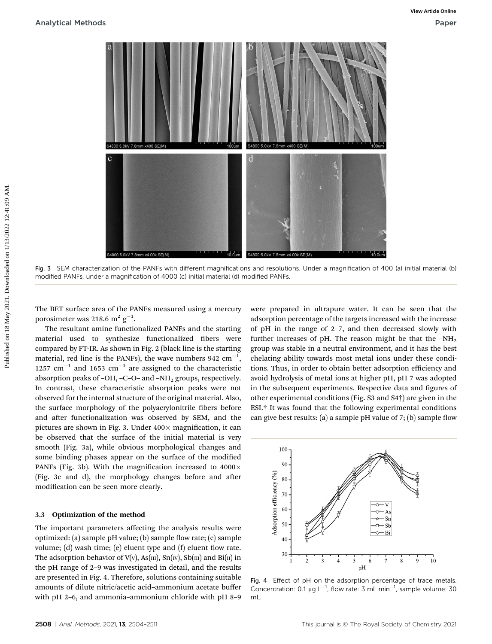

Fig. 3 SEM characterization of the PANFs with different magnifications and resolutions. Under a magnification of 400 (a) initial material (b) modified PANFs, under a magnification of 4000 (c) initial material (d) modified PANFs.

The BET surface area of the PANFs measured using a mercury porosimeter was 218.6  $\mathrm{m^2~g^{-1}}$ .

The resultant amine functionalized PANFs and the starting material used to synthesize functionalized fibers were compared by FT-IR. As shown in Fig. 2 (black line is the starting material, red line is the PANFs), the wave numbers 942  $\mathrm{cm}^{-1},$ 1257  $\text{cm}^{-1}$  and 1653  $\text{cm}^{-1}$  are assigned to the characteristic absorption peaks of -OH, -C-O- and -NH<sub>2</sub> groups, respectively. In contrast, these characteristic absorption peaks were not observed for the internal structure of the original material. Also, the surface morphology of the polyacrylonitrile fibers before and after functionalization was observed by SEM, and the pictures are shown in Fig. 3. Under  $400 \times$  magnification, it can be observed that the surface of the initial material is very smooth (Fig. 3a), while obvious morphological changes and some binding phases appear on the surface of the modified PANFs (Fig. 3b). With the magnification increased to  $4000 \times$ (Fig. 3c and d), the morphology changes before and after modification can be seen more clearly.

#### 3.3 Optimization of the method

The important parameters affecting the analysis results were optimized: (a) sample pH value; (b) sample flow rate; (c) sample volume; (d) wash time; (e) eluent type and  $(f)$  eluent flow rate. The adsorption behavior of  $V(v)$ , As(m), Sn(w), Sb(m) and Bi(n) in the pH range of 2–9 was investigated in detail, and the results are presented in Fig. 4. Therefore, solutions containing suitable amounts of dilute nitric/acetic acid–ammonium acetate buffer with pH 2–6, and ammonia–ammonium chloride with pH 8–9

were prepared in ultrapure water. It can be seen that the adsorption percentage of the targets increased with the increase of pH in the range of 2–7, and then decreased slowly with further increases of pH. The reason might be that the  $-NH<sub>2</sub>$ group was stable in a neutral environment, and it has the best chelating ability towards most metal ions under these conditions. Thus, in order to obtain better adsorption efficiency and avoid hydrolysis of metal ions at higher pH, pH 7 was adopted in the subsequent experiments. Respective data and figures of other experimental conditions (Fig. S3 and S4†) are given in the ESI.† It was found that the following experimental conditions can give best results: (a) a sample pH value of  $7$ ; (b) sample flow



Fig. 4 Effect of pH on the adsorption percentage of trace metals. Concentration:  $0.1 \mu g L^{-1}$ , flow rate: 3 mL min<sup>-1</sup>, sample volume: 30 mL.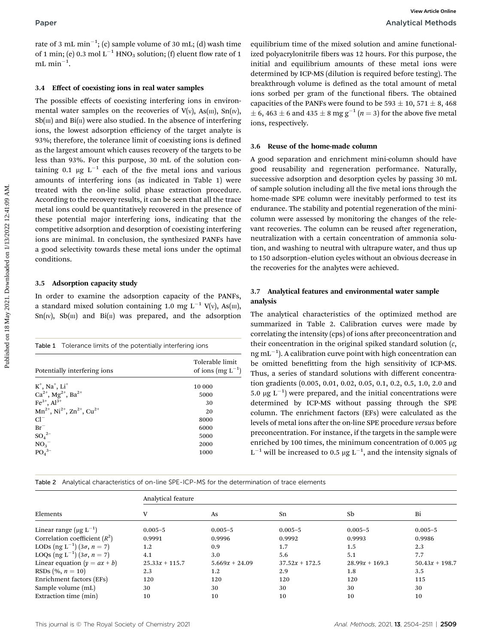rate of 3 mL  $\mathrm{min}^{-1} ;$  (c) sample volume of 30 mL; (d) wash time of 1 min; (e) 0.3 mol  $L^{-1}$  HNO<sub>3</sub> solution; (f) eluent flow rate of 1  $mL$  min<sup>-1</sup>.

#### 3.4 Effect of coexisting ions in real water samples

The possible effects of coexisting interfering ions in environmental water samples on the recoveries of  $V(v)$ ,  $As(m)$ ,  $Sn(w)$ ,  $Sb(m)$  and  $Bi(n)$  were also studied. In the absence of interfering ions, the lowest adsorption efficiency of the target analyte is 93%; therefore, the tolerance limit of coexisting ions is defined as the largest amount which causes recovery of the targets to be less than 93%. For this purpose, 30 mL of the solution containing 0.1  $\mu$ g L<sup>-1</sup> each of the five metal ions and various amounts of interfering ions (as indicated in Table 1) were treated with the on-line solid phase extraction procedure. According to the recovery results, it can be seen that all the trace metal ions could be quantitatively recovered in the presence of these potential major interfering ions, indicating that the competitive adsorption and desorption of coexisting interfering ions are minimal. In conclusion, the synthesized PANFs have a good selectivity towards these metal ions under the optimal conditions. **Paper**<br> **Example volume of 30 mL<sub>i</sub> (d) wash time equilibrium time of the mixed solution and amine functional<br>
or mini-1<sup>3</sup>: (c) another (0) detect for the consideration and equilibrium amounts of these metal ions were<br>** 

#### 3.5 Adsorption capacity study

In order to examine the adsorption capacity of the PANFs, a standard mixed solution containing 1.0 mg L<sup>-1</sup> V(v), As(m),  $Sn(w)$ ,  $Sb(m)$  and  $Bi(n)$  was prepared, and the adsorption

| <b>Table 1</b> Tolerance limits of the potentially interfering ions |                                           |
|---------------------------------------------------------------------|-------------------------------------------|
| Potentially interfering ions                                        | Tolerable limit<br>of ions (mg $L^{-1}$ ) |
| $K^+$ , Na <sup>+</sup> , Li <sup>+</sup>                           | 10 000                                    |
| $Ca^{2+}$ , Mg <sup>2+</sup> , Ba <sup>2+</sup>                     | 5000                                      |
| $Fe^{3+}$ , $Al^{3+}$                                               | 30                                        |
| $Mn^{2+}$ , Ni <sup>2+</sup> , Zn <sup>2+</sup> , Cu <sup>2+</sup>  | 20                                        |
| $Cl-$                                                               | 8000                                      |
| $Br^-$                                                              | 6000                                      |
| $SO_4^2$ <sup>-</sup>                                               | 5000                                      |
| $NO_3^-$                                                            | 2000                                      |
| PO <sub>4</sub> <sup>3–</sup>                                       | 1000                                      |
|                                                                     |                                           |

equilibrium time of the mixed solution and amine functionalized polyacrylonitrile fibers was 12 hours. For this purpose, the initial and equilibrium amounts of these metal ions were determined by ICP-MS (dilution is required before testing). The breakthrough volume is defined as the total amount of metal ions sorbed per gram of the functional fibers. The obtained capacities of the PANFs were found to be 593  $\pm$  10, 571  $\pm$  8, 468  $\pm$  6, 463  $\pm$  6 and 435  $\pm$  8 mg g<sup>-1</sup> (n = 3) for the above five metal ions, respectively.

#### 3.6 Reuse of the home-made column

A good separation and enrichment mini-column should have good reusability and regeneration performance. Naturally, successive adsorption and desorption cycles by passing 30 mL of sample solution including all the five metal ions through the home-made SPE column were inevitably performed to test its endurance. The stability and potential regeneration of the minicolumn were assessed by monitoring the changes of the relevant recoveries. The column can be reused after regeneration, neutralization with a certain concentration of ammonia solution, and washing to neutral with ultrapure water, and thus up to 150 adsorption–elution cycles without an obvious decrease in the recoveries for the analytes were achieved.

#### 3.7 Analytical features and environmental water sample analysis

The analytical characteristics of the optimized method are summarized in Table 2. Calibration curves were made by correlating the intensity (cps) of ions after preconcentration and their concentration in the original spiked standard solution  $(c,$  $ng \, mL^{-1}$ ). A calibration curve point with high concentration can be omitted benetting from the high sensitivity of ICP-MS. Thus, a series of standard solutions with different concentration gradients (0.005, 0.01, 0.02, 0.05, 0.1, 0.2, 0.5, 1.0, 2.0 and 5.0  $\mu$ g L<sup>-1</sup>) were prepared, and the initial concentrations were determined by ICP-MS without passing through the SPE column. The enrichment factors (EFs) were calculated as the levels of metal ions after the on-line SPE procedure versus before preconcentration. For instance, if the targets in the sample were enriched by 100 times, the minimum concentration of  $0.005 \mu g$  $L^{-1}$  will be increased to 0.5 µg  $L^{-1}$ , and the intensity signals of

Table 2 Analytical characteristics of on-line SPE-ICP-MS for the determination of trace elements

|                                                 | Analytical feature |                  |                  |                  |                  |  |  |
|-------------------------------------------------|--------------------|------------------|------------------|------------------|------------------|--|--|
| Elements                                        | v                  | As               | Sn               | Sb               | Bi               |  |  |
| Linear range $(\mu g L^{-1})$                   | $0.005 - 5$        | $0.005 - 5$      | $0.005 - 5$      | $0.005 - 5$      | $0.005 - 5$      |  |  |
| Correlation coefficient $(R^2)$                 | 0.9991             | 0.9996           | 0.9992           | 0.9993           | 0.9986           |  |  |
| LODs $(\text{ng } L^{-1}) (3\sigma, n = 7)$     | 1.2                | 0.9              | 1.7              | 1.5              | 2.3              |  |  |
| LOQs (ng L <sup>-1</sup> ) (3 $\sigma$ , n = 7) | 4.1                | 3.0              | 5.6              | 5.1              | 7.7              |  |  |
| Linear equation $(y = ax + b)$                  | $25.33x + 115.7$   | $5.669x + 24.09$ | $37.52x + 172.5$ | $28.99x + 169.3$ | $50.43x + 198.7$ |  |  |
| RSDs $(\% , n = 10)$                            | 2.3                | 1.2              | 2.9              | 1.8              | 3.5              |  |  |
| Enrichment factors (EFs)                        | 120                | 120              | 120              | 120              | 115              |  |  |
| Sample volume (mL)                              | 30                 | 30               | 30               | 30               | 30               |  |  |
| Extraction time (min)                           | 10                 | 10               | 10               | 10               | 10               |  |  |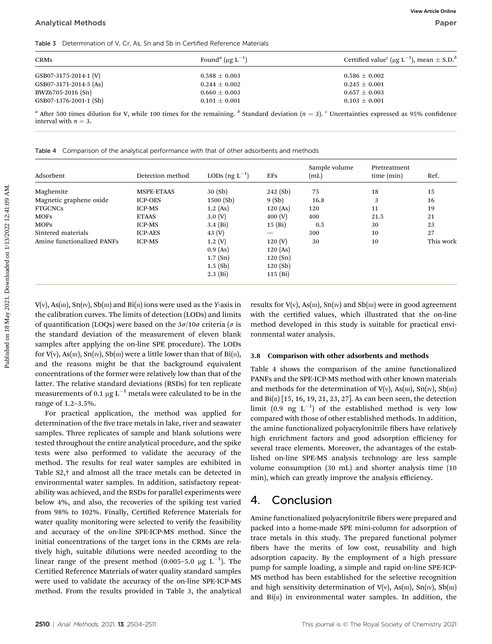Table 3 Determination of V, Cr, As, Sn and Sb in Certified Reference Materials

| <b>CRMs</b>            | Found <sup><i>a</i></sup> ( $\mu$ g L <sup>-1</sup> ) | Certified value ( $\mu$ g L <sup>-1</sup> ), mean $\pm$ S.D. <sup>b</sup> |  |  |
|------------------------|-------------------------------------------------------|---------------------------------------------------------------------------|--|--|
| GSB07-3175-2014-1 (V)  | $0.588 \pm 0.003$                                     | $0.586 \pm 0.002$                                                         |  |  |
| GSB07-3171-2014-5 (As) | $0.244 \pm 0.002$                                     | $0.245 \pm 0.001$                                                         |  |  |
| BWZ6705-2016 (Sn)      | $0.660 \pm 0.003$                                     | $0.657 \pm 0.003$                                                         |  |  |
| GSB07-1376-2001-1 (Sb) | $0.101 \pm 0.001$                                     | $0.103 \pm 0.001$                                                         |  |  |

|  |  |  |  | Table 4 Comparison of the analytical performance with that of other adsorbents and methods |
|--|--|--|--|--------------------------------------------------------------------------------------------|
|  |  |  |  |                                                                                            |

| <b>CRMs</b>                                                                                                                                                                                                    | Found <sup><i>a</i></sup> (µg $L^{-1}$ ) |                        |                          |                       | Certified value <sup>c</sup> ( $\mu$ g L <sup>-1</sup> ), mean $\pm$ S.D. <sup>b</sup> |           |
|----------------------------------------------------------------------------------------------------------------------------------------------------------------------------------------------------------------|------------------------------------------|------------------------|--------------------------|-----------------------|----------------------------------------------------------------------------------------|-----------|
| GSB07-3175-2014-1 (V)<br>$0.588 \pm 0.003$                                                                                                                                                                     |                                          |                        | $0.586 \pm 0.002$        |                       |                                                                                        |           |
| GSB07-3171-2014-5 (As)                                                                                                                                                                                         |                                          | $0.244 \pm 0.002$      |                          |                       | $0.245 \pm 0.001$                                                                      |           |
| BWZ6705-2016 (Sn)                                                                                                                                                                                              |                                          | $0.660 \pm 0.003$      |                          | $0.657 \pm 0.003$     |                                                                                        |           |
| GSB07-1376-2001-1 (Sb)                                                                                                                                                                                         |                                          | $0.101 \pm 0.001$      |                          | $0.103 \pm 0.001$     |                                                                                        |           |
| <sup>a</sup> After 500 times dilution for V, while 100 times for the remaining. <sup>b</sup> Standard deviation ( $n = 3$ ). <sup>c</sup> Uncertainties expressed as 95% confidence<br>interval with $n = 3$ . |                                          |                        |                          |                       |                                                                                        |           |
| Table 4 Comparison of the analytical performance with that of other adsorbents and methods<br>Adsorbent                                                                                                        | Detection method                         | LODs $(ng L^{-1})$     | <b>EFs</b>               | Sample volume<br>(mL) | Pretreatment<br>time (min)                                                             | Ref.      |
|                                                                                                                                                                                                                |                                          |                        |                          |                       |                                                                                        |           |
| Maghemite                                                                                                                                                                                                      | MSPE-ETAAS                               | 30 (Sb)                | 242(Sb)                  | 75                    | 18                                                                                     | 15        |
| Magnetic graphene oxide                                                                                                                                                                                        | <b>ICP-OES</b>                           | 1500 (Sb)              | 9(Sb)                    | 16.8                  | 3                                                                                      | 16        |
|                                                                                                                                                                                                                | <b>ICP-MS</b>                            | 1.2 (As)<br>3.0 (V)    | 120(As)<br>400 (V)       | 120<br>400            | 11<br>21.5                                                                             | 19<br>21  |
| <b>FTGCNCs</b>                                                                                                                                                                                                 |                                          |                        |                          |                       |                                                                                        |           |
| <b>MOFS</b>                                                                                                                                                                                                    | <b>ETAAS</b>                             |                        |                          |                       |                                                                                        |           |
| <b>MOPS</b>                                                                                                                                                                                                    | <b>ICP-MS</b>                            | $3.4$ (Bi)             | 15(Bi)                   | 0.5                   | 30                                                                                     | 23        |
| Sintered materials                                                                                                                                                                                             | <b>ICP-AES</b>                           | 43 $(V)$               | $\overline{\phantom{0}}$ | 300                   | 10                                                                                     | 27        |
| Amine functionalized PANFs                                                                                                                                                                                     | <b>ICP-MS</b>                            | 1.2(V)                 | 120 (V)                  | 30                    | 10                                                                                     | This work |
|                                                                                                                                                                                                                |                                          | $0.9$ (As)             | 120(As)                  |                       |                                                                                        |           |
|                                                                                                                                                                                                                |                                          | 1.7 (Sn)<br>$1.5$ (Sb) | 120(Sn)<br>120(Sb)       |                       |                                                                                        |           |

 $V(v)$ , As(m), Sn(w), Sb(m) and Bi(n) ions were used as the Y-axis in the calibration curves. The limits of detection (LODs) and limits of quantification (LOQs) were based on the  $3\sigma/10\sigma$  criteria ( $\sigma$  is the standard deviation of the measurement of eleven blank samples after applying the on-line SPE procedure). The LODs for  $V(v)$ , As(III), Sn(IV), Sb(III) were a little lower than that of Bi(II), and the reasons might be that the background equivalent concentrations of the former were relatively low than that of the latter. The relative standard deviations (RSDs) for ten replicate measurements of 0.1  $\upmu\mathrm{g}\:\mathrm{L}^{-1}$  metals were calculated to be in the range of 1.2–3.5%.

For practical application, the method was applied for determination of the five trace metals in lake, river and seawater samples. Three replicates of sample and blank solutions were tested throughout the entire analytical procedure, and the spike tests were also performed to validate the accuracy of the method. The results for real water samples are exhibited in Table S2,† and almost all the trace metals can be detected in environmental water samples. In addition, satisfactory repeatability was achieved, and the RSDs for parallel experiments were below 4%, and also, the recoveries of the spiking test varied from 98% to 102%. Finally, Certified Reference Materials for water quality monitoring were selected to verify the feasibility and accuracy of the on-line SPE-ICP-MS method. Since the initial concentrations of the target ions in the CRMs are relatively high, suitable dilutions were needed according to the linear range of the present method  $(0.005-5.0 \text{ µg L}^{-1})$ . The Certified Reference Materials of water quality standard samples were used to validate the accuracy of the on-line SPE-ICP-MS method. From the results provided in Table 3, the analytical

#### 3.8 Comparison with other adsorbents and methods

Table 4 shows the comparison of the amine functionalized PANFs and the SPE-ICP-MS method with other known materials and methods for the determination of  $V(v)$ ,  $As(m)$ ,  $Sn(w)$ ,  $Sb(m)$ and  $Bi(n)$  [15, 16, 19, 21, 23, 27]. As can been seen, the detection limit (0.9 ng  $L^{-1}$ ) of the established method is very low compared with those of other established methods. In addition, the amine functionalized polyacrylonitrile fibers have relatively high enrichment factors and good adsorption efficiency for several trace elements. Moreover, the advantages of the established on-line SPE-MS analysis technology are less sample volume consumption (30 mL) and shorter analysis time (10 min), which can greatly improve the analysis efficiency.

# 4. Conclusion

Amine functionalized polyacrylonitrile fibers were prepared and packed into a home-made SPE mini-column for adsorption of trace metals in this study. The prepared functional polymer fibers have the merits of low cost, reusability and high adsorption capacity. By the employment of a high pressure pump for sample loading, a simple and rapid on-line SPE-ICP-MS method has been established for the selective recognition and high sensitivity determination of  $V(v)$ ,  $As(m)$ ,  $Sn(w)$ ,  $Sb(m)$ and  $Bi(\pi)$  in environmental water samples. In addition, the